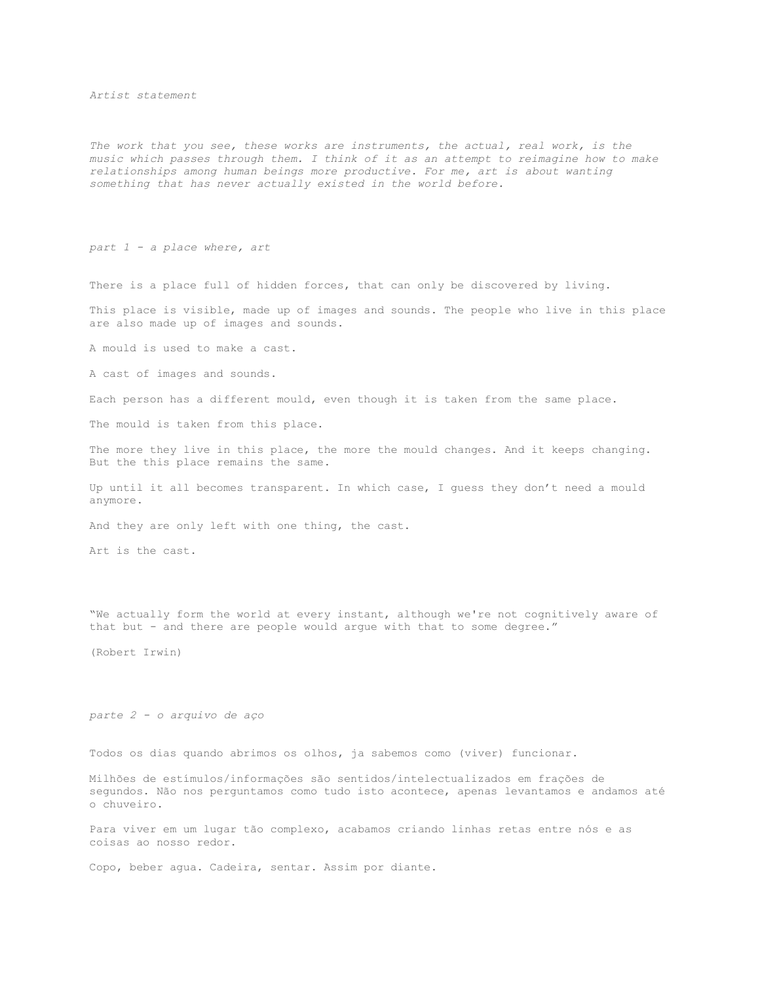*Artist statement*

*The work that you see, these works are instruments, the actual, real work, is the music which passes through them. I think of it as an attempt to reimagine how to make relationships among human beings more productive. For me, art is about wanting something that has never actually existed in the world before.*

*part 1 - a place where, art*

There is a place full of hidden forces, that can only be discovered by living.

This place is visible, made up of images and sounds. The people who live in this place are also made up of images and sounds.

A mould is used to make a cast.

A cast of images and sounds.

Each person has a different mould, even though it is taken from the same place.

The mould is taken from this place.

The more they live in this place, the more the mould changes. And it keeps changing. But the this place remains the same.

Up until it all becomes transparent. In which case, I guess they don't need a mould anymore.

And they are only left with one thing, the cast.

Art is the cast.

"We actually form the world at every instant, although we're not cognitively aware of that but - and there are people would argue with that to some degree."

(Robert Irwin)

*parte 2 - o arquivo de aço*

Todos os dias quando abrimos os olhos, ja sabemos como (viver) funcionar.

Milhões de estímulos/informações são sentidos/intelectualizados em frações de segundos. Não nos perguntamos como tudo isto acontece, apenas levantamos e andamos até o chuveiro.

Para viver em um lugar tão complexo, acabamos criando linhas retas entre nós e as coisas ao nosso redor.

Copo, beber agua. Cadeira, sentar. Assim por diante.